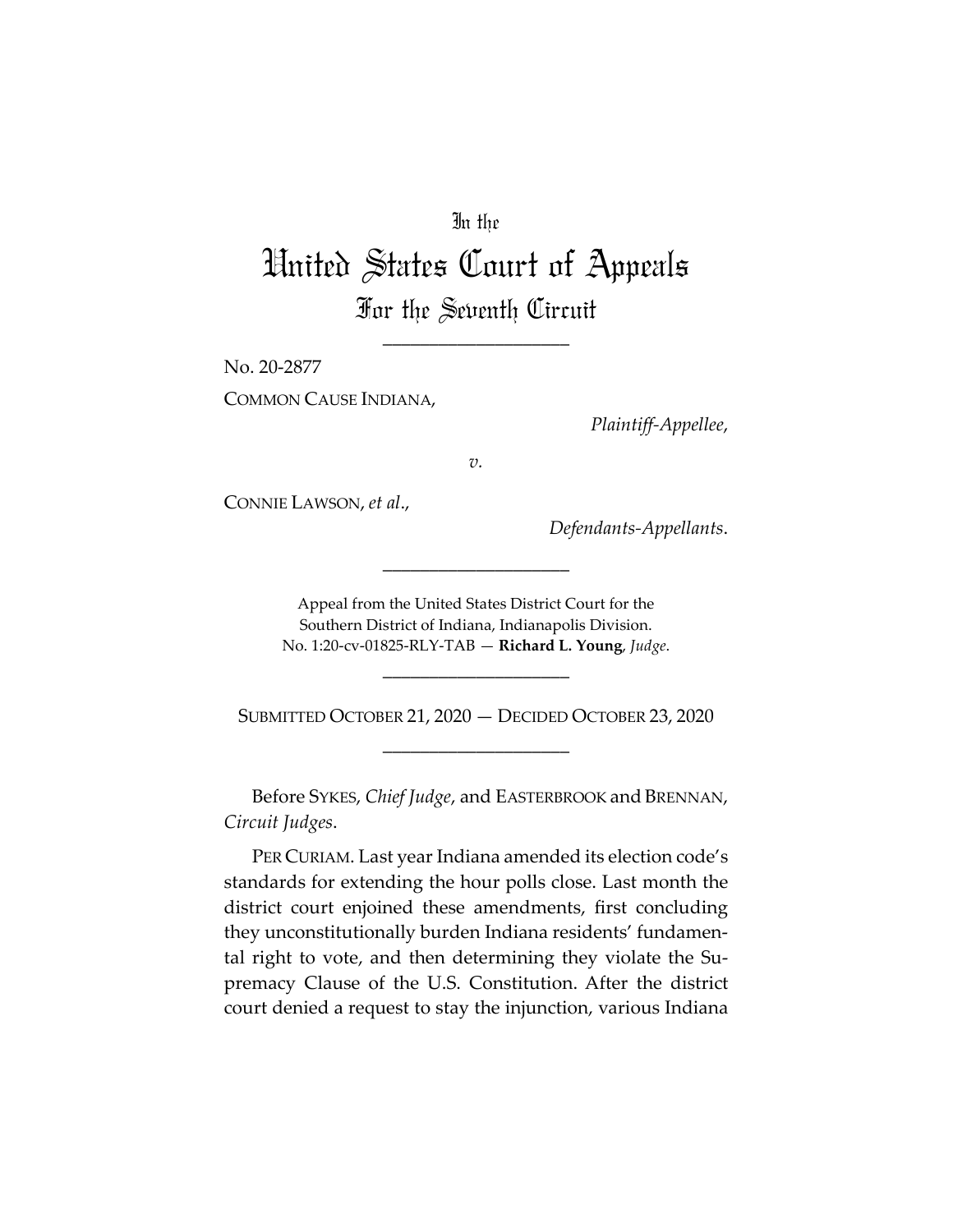# In the

# United States Court of Appeals For the Seventh Circuit

\_\_\_\_\_\_\_\_\_\_\_\_\_\_\_\_\_\_\_\_

No. 20-2877

COMMON CAUSE INDIANA,

*Plaintiff-Appellee*,

*v.*

CONNIE LAWSON, *et al*.,

*Defendants-Appellants*.

Appeal from the United States District Court for the Southern District of Indiana, Indianapolis Division. No. 1:20-cv-01825-RLY-TAB — **Richard L. Young**, *Judge*.

\_\_\_\_\_\_\_\_\_\_\_\_\_\_\_\_\_\_\_\_

\_\_\_\_\_\_\_\_\_\_\_\_\_\_\_\_\_\_\_\_

SUBMITTED OCTOBER 21, 2020 — DECIDED OCTOBER 23, 2020 \_\_\_\_\_\_\_\_\_\_\_\_\_\_\_\_\_\_\_\_

Before SYKES, *Chief Judge*, and EASTERBROOK and BRENNAN, *Circuit Judges*.

PER CURIAM. Last year Indiana amended its election code's standards for extending the hour polls close. Last month the district court enjoined these amendments, first concluding they unconstitutionally burden Indiana residents' fundamental right to vote, and then determining they violate the Supremacy Clause of the U.S. Constitution. After the district court denied a request to stay the injunction, various Indiana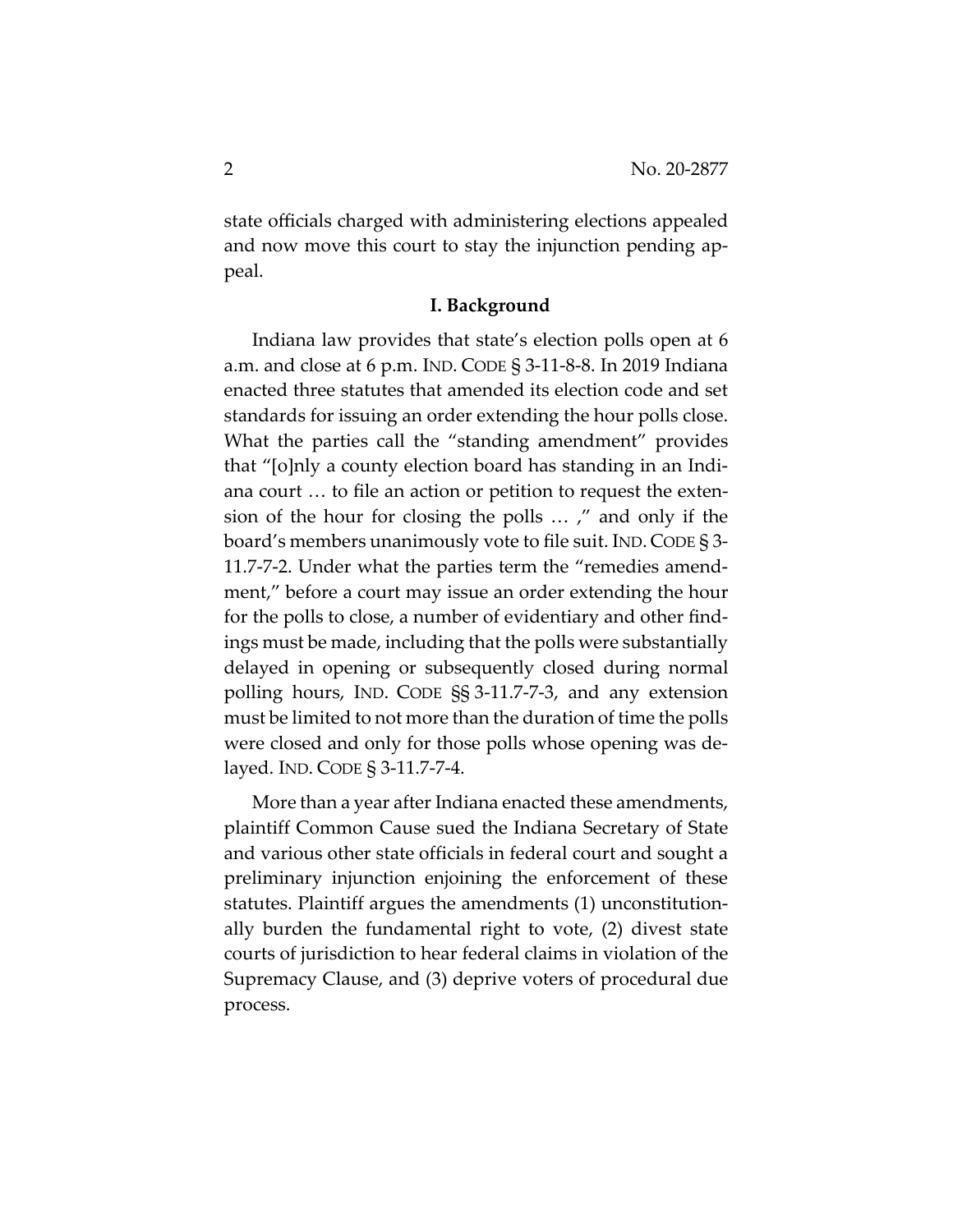state officials charged with administering elections appealed and now move this court to stay the injunction pending appeal.

#### **I. Background**

Indiana law provides that state's election polls open at 6 a.m. and close at 6 p.m. IND. CODE § 3-11-8-8. In 2019 Indiana enacted three statutes that amended its election code and set standards for issuing an order extending the hour polls close. What the parties call the "standing amendment" provides that "[o]nly a county election board has standing in an Indiana court … to file an action or petition to request the extension of the hour for closing the polls … ," and only if the board's members unanimously vote to file suit. IND. CODE § 3- 11.7-7-2. Under what the parties term the "remedies amendment," before a court may issue an order extending the hour for the polls to close, a number of evidentiary and other findings must be made, including that the polls were substantially delayed in opening or subsequently closed during normal polling hours, IND. CODE §§ 3-11.7-7-3, and any extension must be limited to not more than the duration of time the polls were closed and only for those polls whose opening was delayed. IND. CODE § 3-11.7-7-4.

More than a year after Indiana enacted these amendments, plaintiff Common Cause sued the Indiana Secretary of State and various other state officials in federal court and sought a preliminary injunction enjoining the enforcement of these statutes. Plaintiff argues the amendments (1) unconstitutionally burden the fundamental right to vote, (2) divest state courts of jurisdiction to hear federal claims in violation of the Supremacy Clause, and (3) deprive voters of procedural due process.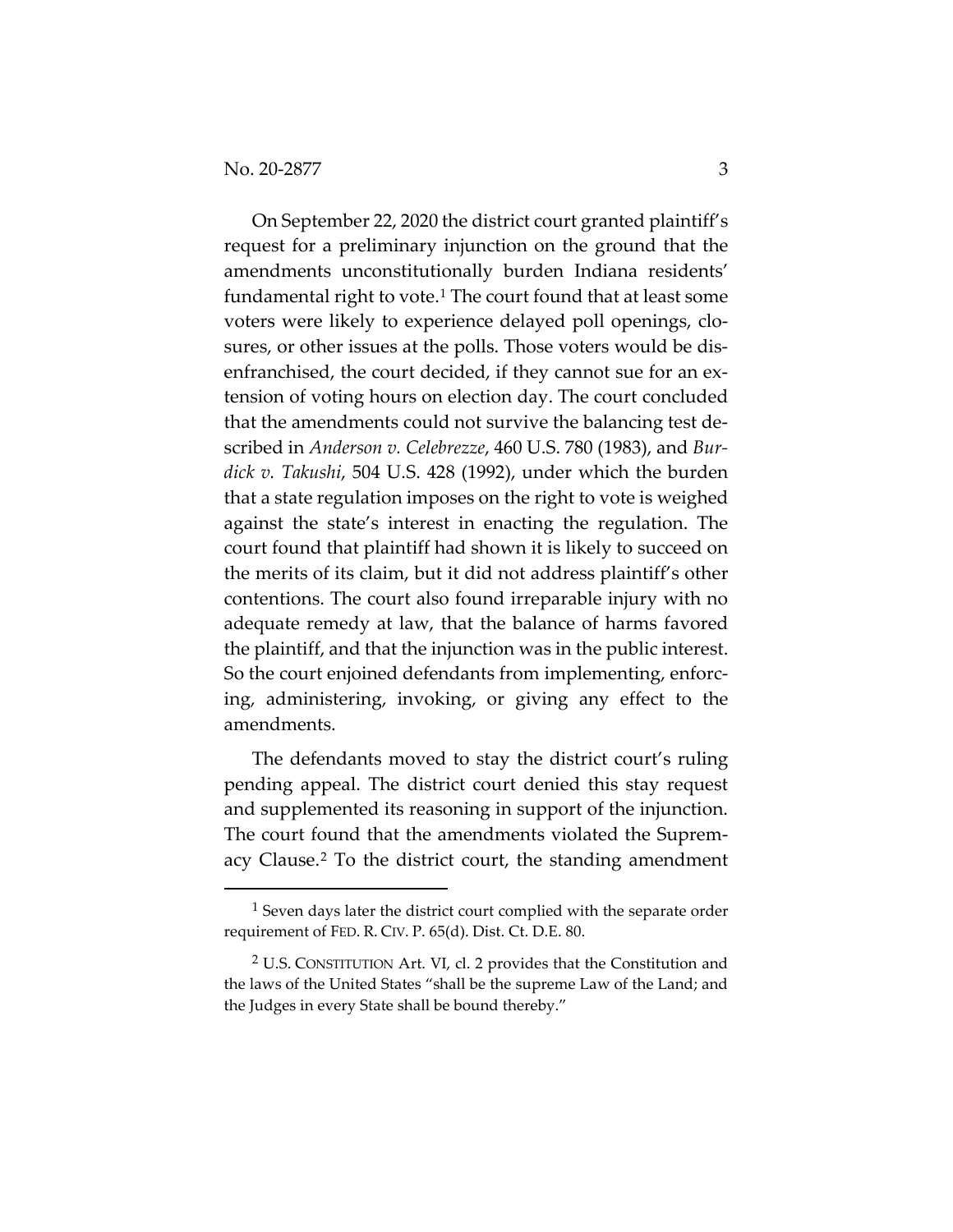On September 22, 2020 the district court granted plaintiff's request for a preliminary injunction on the ground that the amendments unconstitutionally burden Indiana residents' fundamental right to vote.<sup>[1](#page-2-0)</sup> The court found that at least some voters were likely to experience delayed poll openings, closures, or other issues at the polls. Those voters would be disenfranchised, the court decided, if they cannot sue for an extension of voting hours on election day. The court concluded that the amendments could not survive the balancing test described in *Anderson v. Celebrezze*, 460 U.S. 780 (1983), and *Burdick v. Takushi*, 504 U.S. 428 (1992), under which the burden that a state regulation imposes on the right to vote is weighed against the state's interest in enacting the regulation. The court found that plaintiff had shown it is likely to succeed on the merits of its claim, but it did not address plaintiff's other contentions. The court also found irreparable injury with no adequate remedy at law, that the balance of harms favored the plaintiff, and that the injunction was in the public interest. So the court enjoined defendants from implementing, enforcing, administering, invoking, or giving any effect to the amendments.

The defendants moved to stay the district court's ruling pending appeal. The district court denied this stay request and supplemented its reasoning in support of the injunction. The court found that the amendments violated the Supremacy Clause.[2](#page-2-1) To the district court, the standing amendment

<span id="page-2-0"></span><sup>&</sup>lt;sup>1</sup> Seven days later the district court complied with the separate order requirement of FED. R. CIV. P. 65(d). Dist. Ct. D.E. 80.

<span id="page-2-1"></span><sup>2</sup> U.S. CONSTITUTION Art. VI, cl. 2 provides that the Constitution and the laws of the United States "shall be the supreme Law of the Land; and the Judges in every State shall be bound thereby."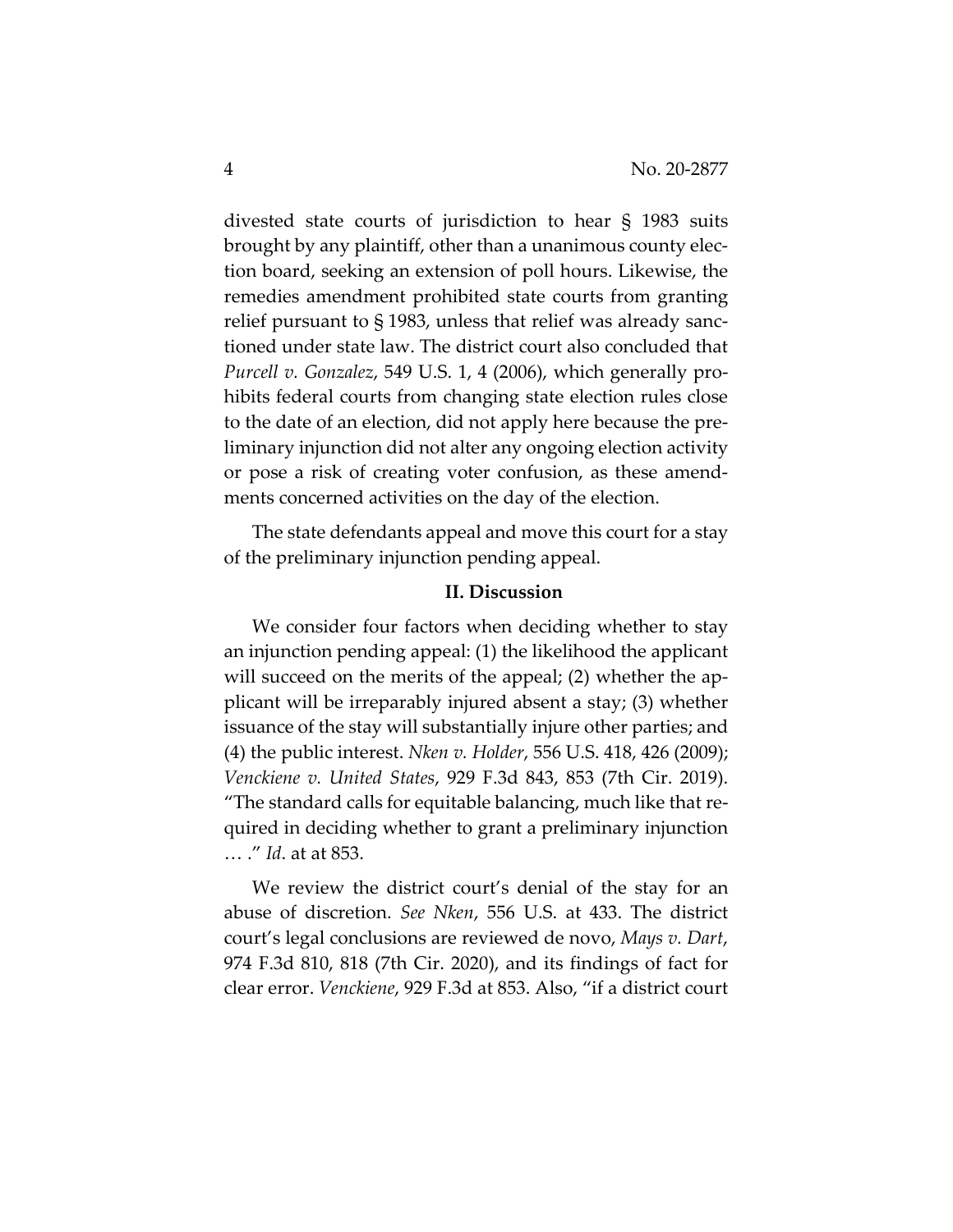divested state courts of jurisdiction to hear § 1983 suits brought by any plaintiff, other than a unanimous county election board, seeking an extension of poll hours. Likewise, the remedies amendment prohibited state courts from granting relief pursuant to § 1983, unless that relief was already sanctioned under state law. The district court also concluded that *Purcell v. Gonzalez*, 549 U.S. 1, 4 (2006), which generally prohibits federal courts from changing state election rules close to the date of an election, did not apply here because the preliminary injunction did not alter any ongoing election activity or pose a risk of creating voter confusion, as these amendments concerned activities on the day of the election.

The state defendants appeal and move this court for a stay of the preliminary injunction pending appeal.

# **II. Discussion**

We consider four factors when deciding whether to stay an injunction pending appeal: (1) the likelihood the applicant will succeed on the merits of the appeal; (2) whether the applicant will be irreparably injured absent a stay; (3) whether issuance of the stay will substantially injure other parties; and (4) the public interest. *Nken v. Holder*, 556 U.S. 418, 426 (2009); *Venckiene v. United States*, 929 F.3d 843, 853 (7th Cir. 2019). "The standard calls for equitable balancing, much like that required in deciding whether to grant a preliminary injunction … ." *Id*. at at 853.

We review the district court's denial of the stay for an abuse of discretion. *See Nken*, 556 U.S. at 433. The district court's legal conclusions are reviewed de novo, *Mays v. Dart*, 974 F.3d 810, 818 (7th Cir. 2020), and its findings of fact for clear error. *Venckiene*, 929 F.3d at 853. Also, "if a district court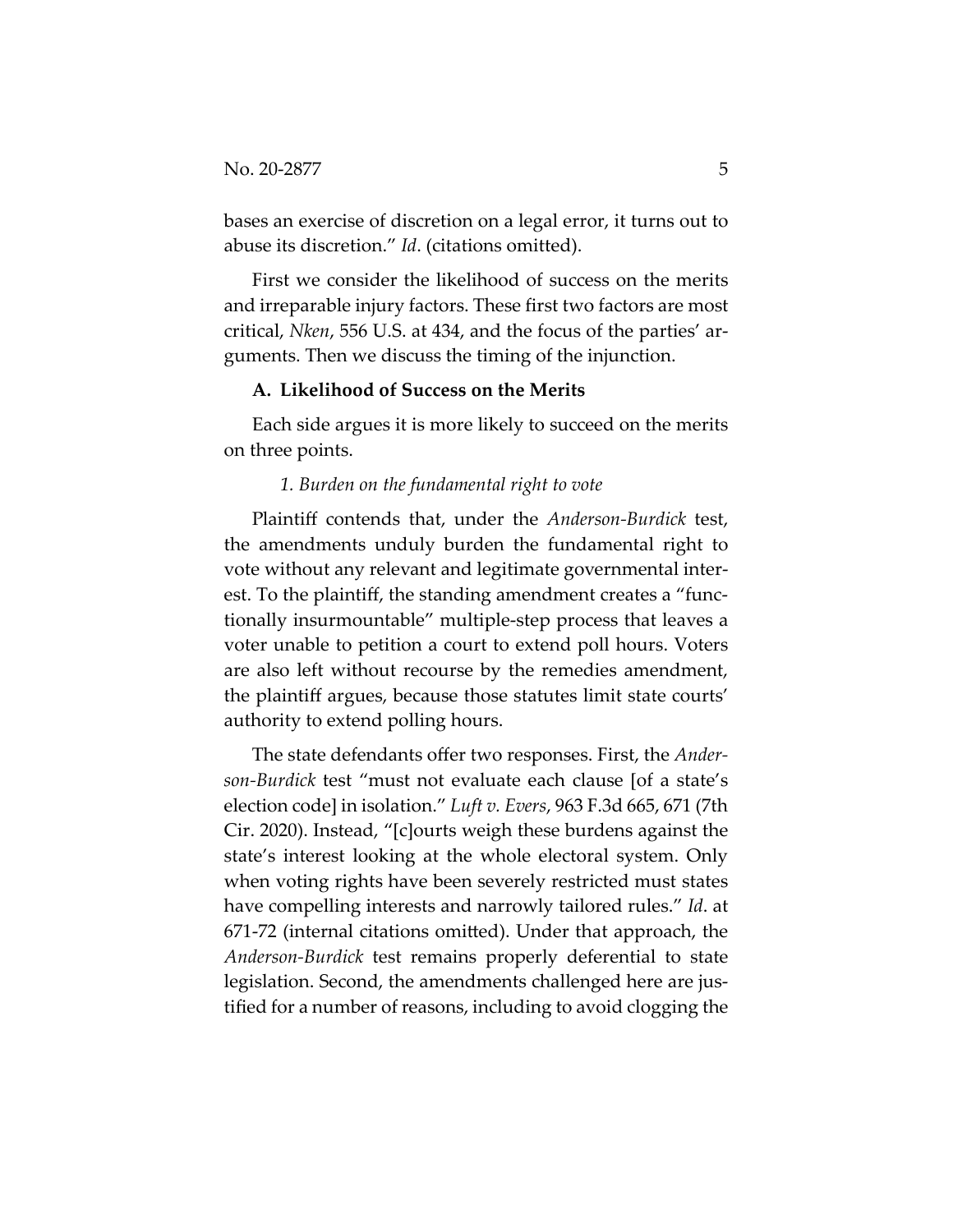bases an exercise of discretion on a legal error, it turns out to abuse its discretion." *Id*. (citations omitted).

First we consider the likelihood of success on the merits and irreparable injury factors. These first two factors are most critical, *Nken*, 556 U.S. at 434, and the focus of the parties' arguments. Then we discuss the timing of the injunction.

#### **A. Likelihood of Success on the Merits**

Each side argues it is more likely to succeed on the merits on three points.

# *1. Burden on the fundamental right to vote*

Plaintiff contends that, under the *Anderson-Burdick* test, the amendments unduly burden the fundamental right to vote without any relevant and legitimate governmental interest. To the plaintiff, the standing amendment creates a "functionally insurmountable" multiple-step process that leaves a voter unable to petition a court to extend poll hours. Voters are also left without recourse by the remedies amendment, the plaintiff argues, because those statutes limit state courts' authority to extend polling hours.

The state defendants offer two responses. First, the *Anderson-Burdick* test "must not evaluate each clause [of a state's election code] in isolation." *Luft v. Evers*, 963 F.3d 665, 671 (7th Cir. 2020). Instead, "[c]ourts weigh these burdens against the state's interest looking at the whole electoral system. Only when voting rights have been severely restricted must states have compelling interests and narrowly tailored rules." *Id*. at 671-72 (internal citations omitted). Under that approach, the *Anderson-Burdick* test remains properly deferential to state legislation. Second, the amendments challenged here are justified for a number of reasons, including to avoid clogging the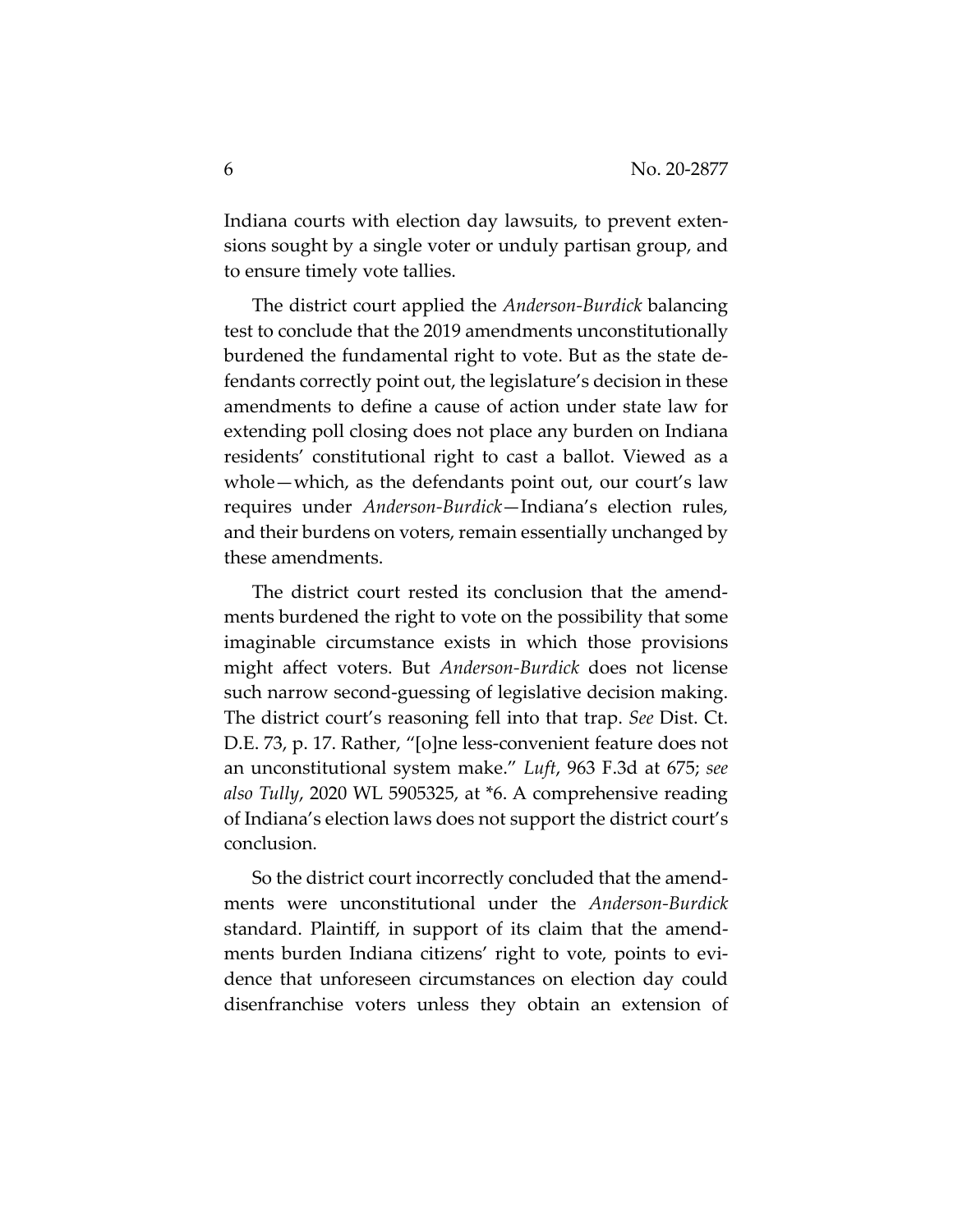Indiana courts with election day lawsuits, to prevent extensions sought by a single voter or unduly partisan group, and to ensure timely vote tallies.

The district court applied the *Anderson-Burdick* balancing test to conclude that the 2019 amendments unconstitutionally burdened the fundamental right to vote. But as the state defendants correctly point out, the legislature's decision in these amendments to define a cause of action under state law for extending poll closing does not place any burden on Indiana residents' constitutional right to cast a ballot. Viewed as a whole—which, as the defendants point out, our court's law requires under *Anderson-Burdick*—Indiana's election rules, and their burdens on voters, remain essentially unchanged by these amendments.

The district court rested its conclusion that the amendments burdened the right to vote on the possibility that some imaginable circumstance exists in which those provisions might affect voters. But *Anderson-Burdick* does not license such narrow second-guessing of legislative decision making. The district court's reasoning fell into that trap. *See* Dist. Ct. D.E. 73, p. 17. Rather, "[o]ne less-convenient feature does not an unconstitutional system make." *Luft*, 963 F.3d at 675; *see also Tully*, 2020 WL 5905325, at \*6. A comprehensive reading of Indiana's election laws does not support the district court's conclusion.

So the district court incorrectly concluded that the amendments were unconstitutional under the *Anderson-Burdick* standard. Plaintiff, in support of its claim that the amendments burden Indiana citizens' right to vote, points to evidence that unforeseen circumstances on election day could disenfranchise voters unless they obtain an extension of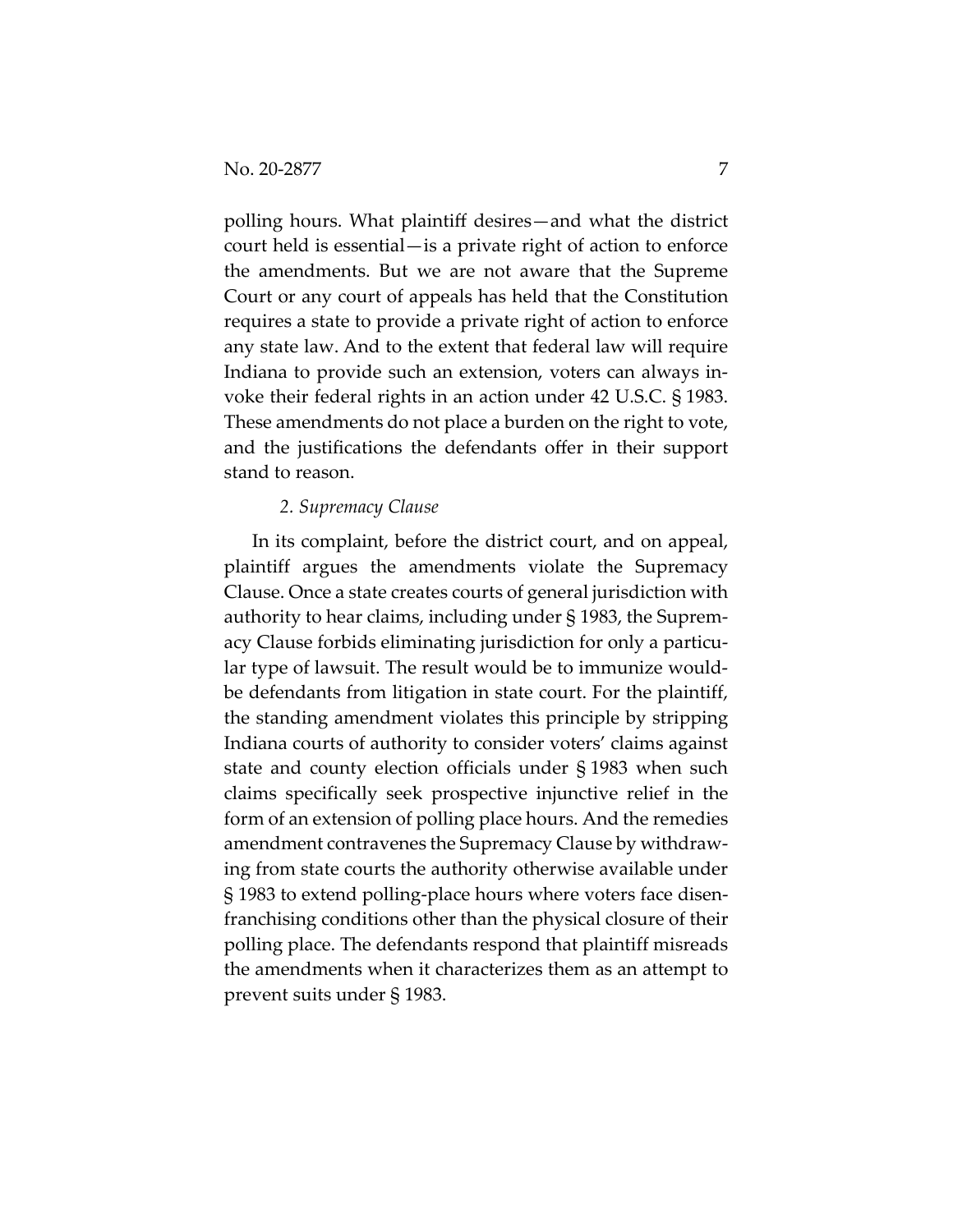polling hours. What plaintiff desires—and what the district court held is essential—is a private right of action to enforce the amendments. But we are not aware that the Supreme Court or any court of appeals has held that the Constitution requires a state to provide a private right of action to enforce any state law. And to the extent that federal law will require Indiana to provide such an extension, voters can always invoke their federal rights in an action under 42 U.S.C. § 1983. These amendments do not place a burden on the right to vote, and the justifications the defendants offer in their support stand to reason.

#### *2. Supremacy Clause*

In its complaint, before the district court, and on appeal, plaintiff argues the amendments violate the Supremacy Clause. Once a state creates courts of general jurisdiction with authority to hear claims, including under § 1983, the Supremacy Clause forbids eliminating jurisdiction for only a particular type of lawsuit. The result would be to immunize wouldbe defendants from litigation in state court. For the plaintiff, the standing amendment violates this principle by stripping Indiana courts of authority to consider voters' claims against state and county election officials under § 1983 when such claims specifically seek prospective injunctive relief in the form of an extension of polling place hours. And the remedies amendment contravenes the Supremacy Clause by withdrawing from state courts the authority otherwise available under § 1983 to extend polling-place hours where voters face disenfranchising conditions other than the physical closure of their polling place. The defendants respond that plaintiff misreads the amendments when it characterizes them as an attempt to prevent suits under § 1983.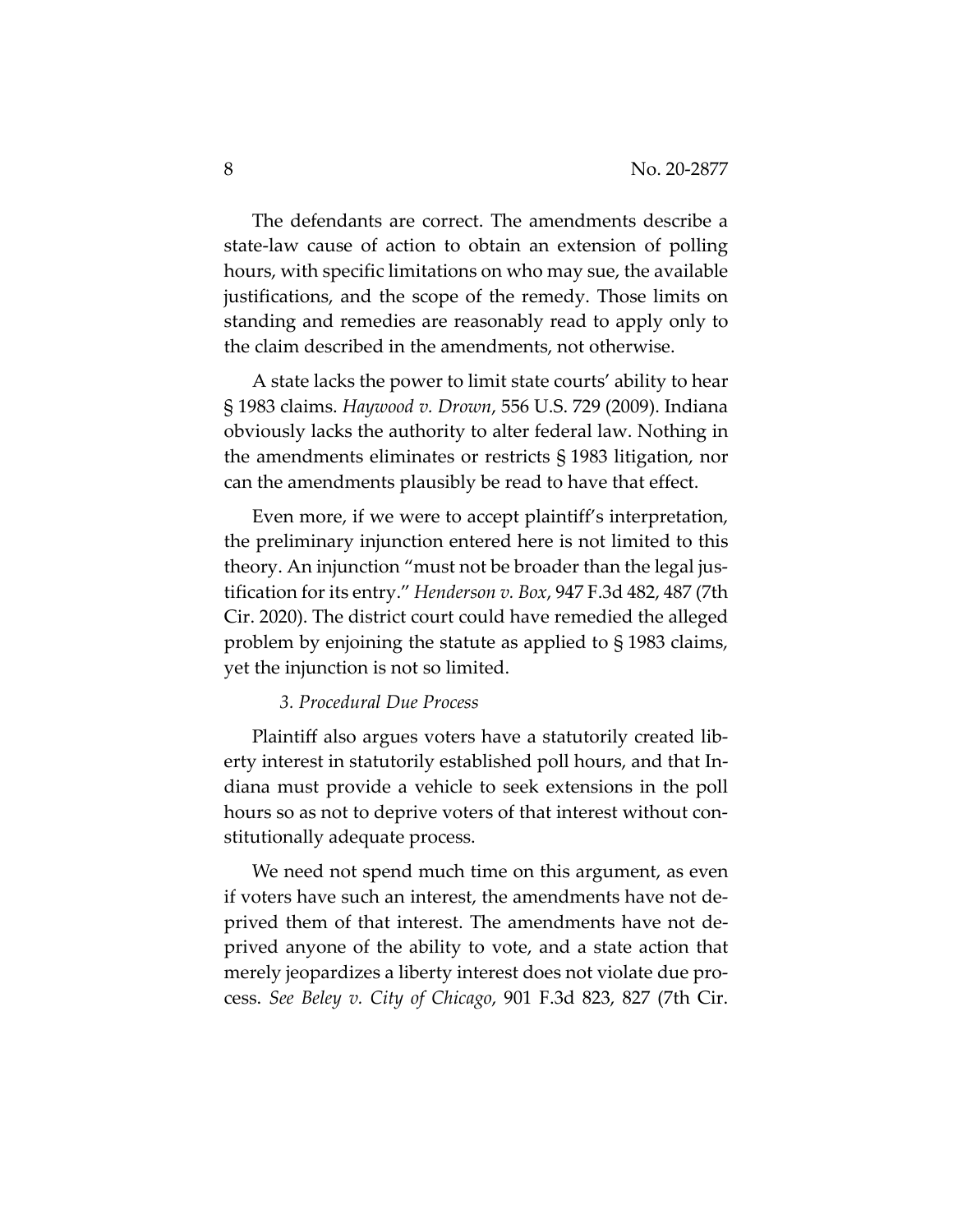The defendants are correct. The amendments describe a state-law cause of action to obtain an extension of polling hours, with specific limitations on who may sue, the available justifications, and the scope of the remedy. Those limits on standing and remedies are reasonably read to apply only to the claim described in the amendments, not otherwise.

A state lacks the power to limit state courts' ability to hear § 1983 claims. *Haywood v. Drown*, 556 U.S. 729 (2009). Indiana obviously lacks the authority to alter federal law. Nothing in the amendments eliminates or restricts § 1983 litigation, nor can the amendments plausibly be read to have that effect.

Even more, if we were to accept plaintiff's interpretation, the preliminary injunction entered here is not limited to this theory. An injunction "must not be broader than the legal justification for its entry." *Henderson v. Box*, 947 F.3d 482, 487 (7th Cir. 2020). The district court could have remedied the alleged problem by enjoining the statute as applied to § 1983 claims, yet the injunction is not so limited.

# *3. Procedural Due Process*

Plaintiff also argues voters have a statutorily created liberty interest in statutorily established poll hours, and that Indiana must provide a vehicle to seek extensions in the poll hours so as not to deprive voters of that interest without constitutionally adequate process.

We need not spend much time on this argument, as even if voters have such an interest, the amendments have not deprived them of that interest. The amendments have not deprived anyone of the ability to vote, and a state action that merely jeopardizes a liberty interest does not violate due process. *See Beley v. City of Chicago*, 901 F.3d 823, 827 (7th Cir.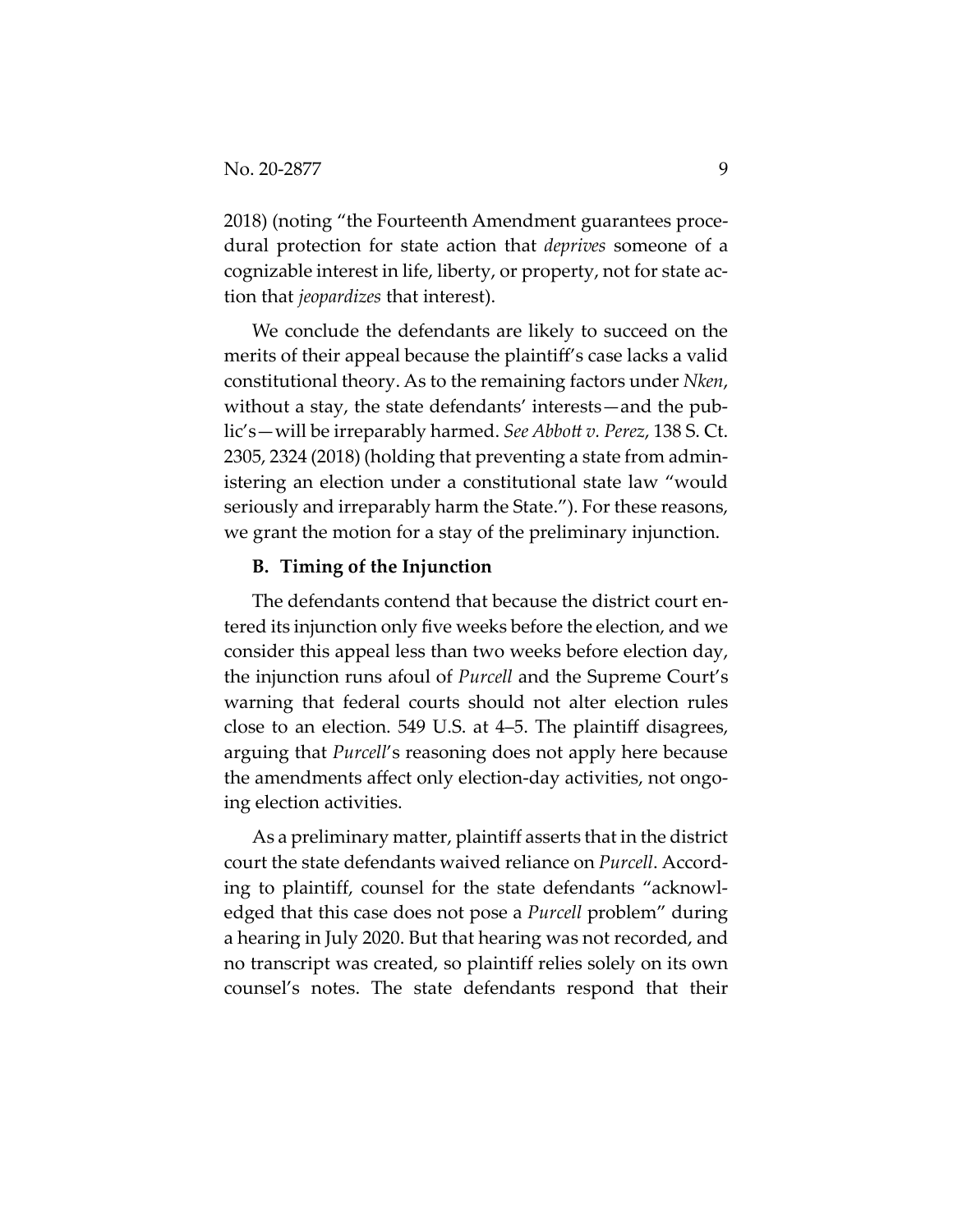2018) (noting "the Fourteenth Amendment guarantees procedural protection for state action that *deprives* someone of a cognizable interest in life, liberty, or property, not for state action that *jeopardizes* that interest).

We conclude the defendants are likely to succeed on the merits of their appeal because the plaintiff's case lacks a valid constitutional theory. As to the remaining factors under *Nken*, without a stay, the state defendants' interests—and the public's—will be irreparably harmed. *See Abbott v. Perez*, 138 S. Ct. 2305, 2324 (2018) (holding that preventing a state from administering an election under a constitutional state law "would seriously and irreparably harm the State."). For these reasons, we grant the motion for a stay of the preliminary injunction.

#### **B. Timing of the Injunction**

The defendants contend that because the district court entered its injunction only five weeks before the election, and we consider this appeal less than two weeks before election day, the injunction runs afoul of *Purcell* and the Supreme Court's warning that federal courts should not alter election rules close to an election. 549 U.S. at 4–5. The plaintiff disagrees, arguing that *Purcell*'s reasoning does not apply here because the amendments affect only election-day activities, not ongoing election activities.

As a preliminary matter, plaintiff asserts that in the district court the state defendants waived reliance on *Purcell*. According to plaintiff, counsel for the state defendants "acknowledged that this case does not pose a *Purcell* problem" during a hearing in July 2020. But that hearing was not recorded, and no transcript was created, so plaintiff relies solely on its own counsel's notes. The state defendants respond that their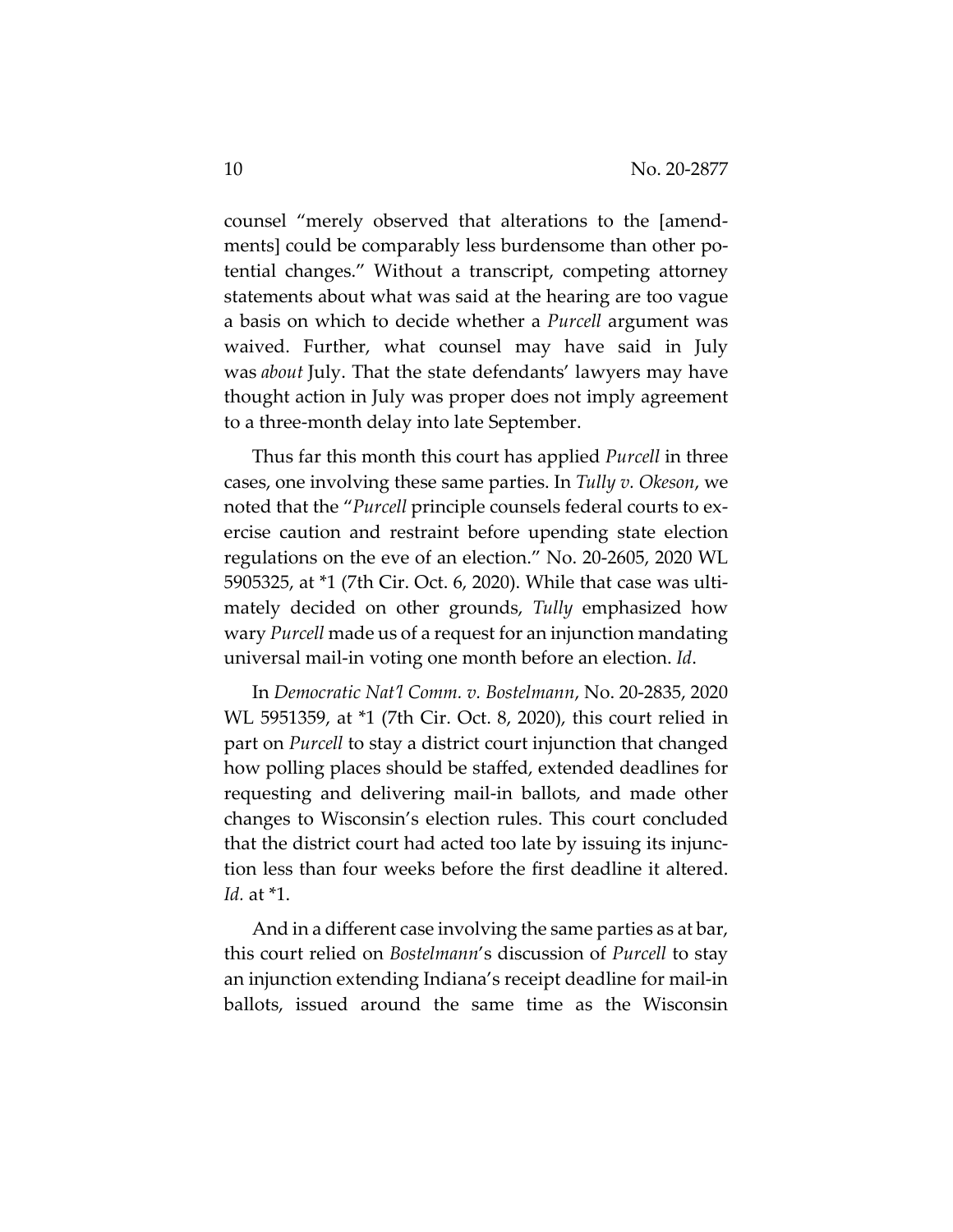counsel "merely observed that alterations to the [amendments] could be comparably less burdensome than other potential changes." Without a transcript, competing attorney statements about what was said at the hearing are too vague a basis on which to decide whether a *Purcell* argument was waived. Further, what counsel may have said in July was *about* July. That the state defendants' lawyers may have thought action in July was proper does not imply agreement to a three-month delay into late September.

Thus far this month this court has applied *Purcell* in three cases, one involving these same parties. In *Tully v. Okeson*, we noted that the "*Purcell* principle counsels federal courts to exercise caution and restraint before upending state election regulations on the eve of an election." No. 20-2605, 2020 WL 5905325, at \*1 (7th Cir. Oct. 6, 2020). While that case was ultimately decided on other grounds, *Tully* emphasized how wary *Purcell* made us of a request for an injunction mandating universal mail-in voting one month before an election. *Id*.

In *Democratic Nat'l Comm. v. Bostelmann*, No. 20-2835, 2020 WL 5951359, at \*1 (7th Cir. Oct. 8, 2020), this court relied in part on *Purcell* to stay a district court injunction that changed how polling places should be staffed, extended deadlines for requesting and delivering mail-in ballots, and made other changes to Wisconsin's election rules. This court concluded that the district court had acted too late by issuing its injunction less than four weeks before the first deadline it altered. *Id.* at \*1.

And in a different case involving the same parties as at bar, this court relied on *Bostelmann*'s discussion of *Purcell* to stay an injunction extending Indiana's receipt deadline for mail-in ballots, issued around the same time as the Wisconsin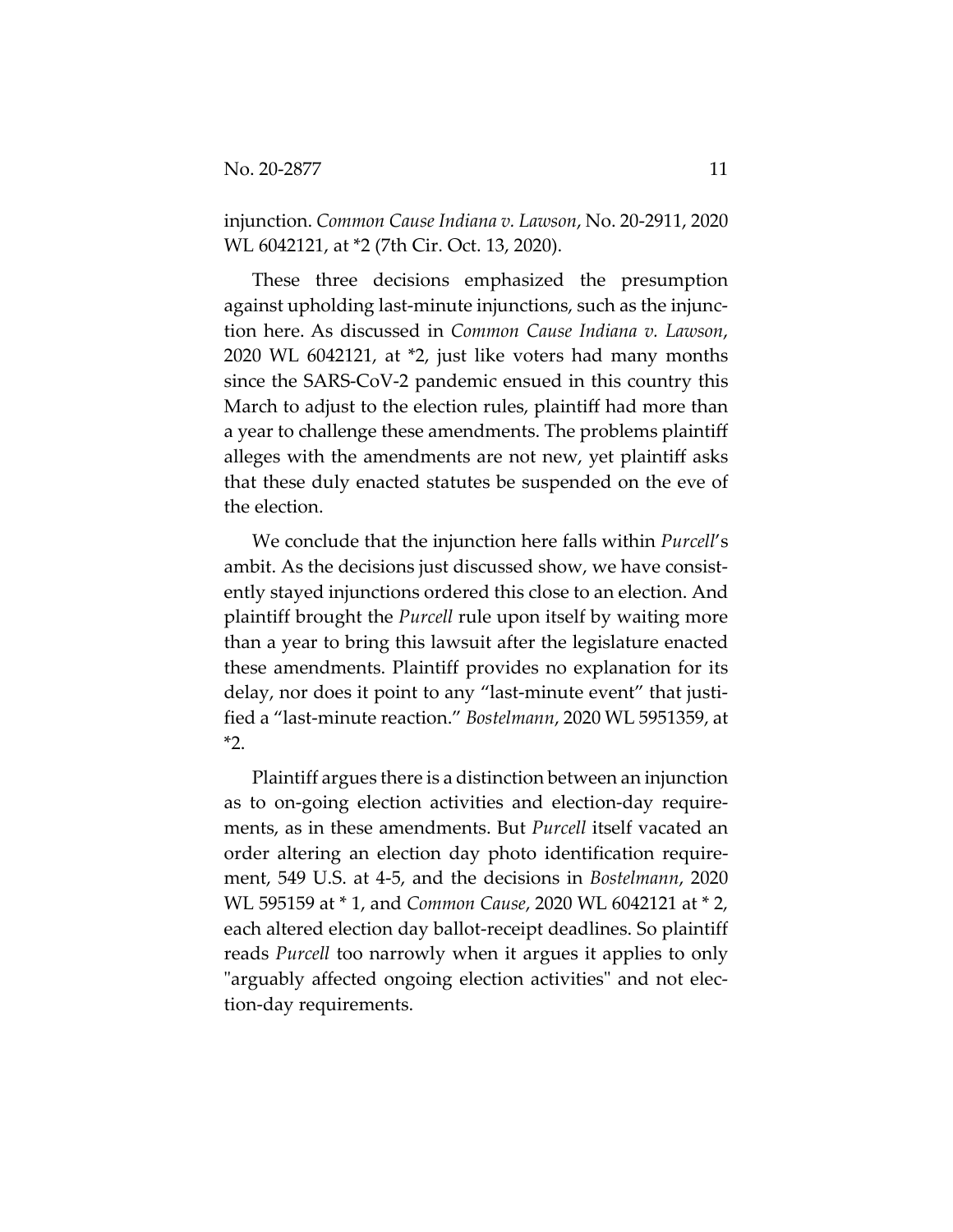injunction. *Common Cause Indiana v. Lawson*, No. 20-2911, 2020 WL 6042121, at \*2 (7th Cir. Oct. 13, 2020).

These three decisions emphasized the presumption against upholding last-minute injunctions, such as the injunction here. As discussed in *Common Cause Indiana v. Lawson*, 2020 WL 6042121, at \*2, just like voters had many months since the SARS-CoV-2 pandemic ensued in this country this March to adjust to the election rules, plaintiff had more than a year to challenge these amendments. The problems plaintiff alleges with the amendments are not new, yet plaintiff asks that these duly enacted statutes be suspended on the eve of the election.

We conclude that the injunction here falls within *Purcell*'s ambit. As the decisions just discussed show, we have consistently stayed injunctions ordered this close to an election. And plaintiff brought the *Purcell* rule upon itself by waiting more than a year to bring this lawsuit after the legislature enacted these amendments. Plaintiff provides no explanation for its delay, nor does it point to any "last-minute event" that justified a "last-minute reaction." *Bostelmann*, 2020 WL 5951359, at \*2.

Plaintiff argues there is a distinction between an injunction as to on-going election activities and election-day requirements, as in these amendments. But *Purcell* itself vacated an order altering an election day photo identification requirement, 549 U.S. at 4-5, and the decisions in *Bostelmann*, 2020 WL 595159 at \* 1, and *Common Cause*, 2020 WL 6042121 at \* 2, each altered election day ballot-receipt deadlines. So plaintiff reads *Purcell* too narrowly when it argues it applies to only "arguably affected ongoing election activities" and not election-day requirements.